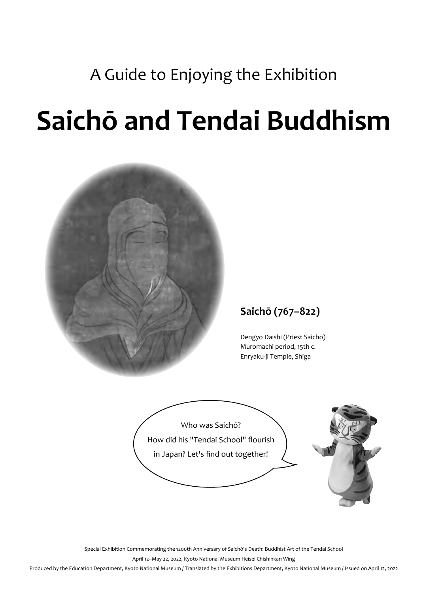### A Guide to Enjoying the Exhibition

# **Saichō and Tendai Buddhism**



#### **Saichō (767–822)**

Dengyō Daishi (Priest Saichō) Muromachi period, 15th c. Enryaku-ji Temple, Shiga



Special Exhibition Commemorating the 1200th Anniversary of Saichō's Death: Buddhist Art of the Tendai School April 12–May 22, 2022, Kyoto National Museum Heisei Chishinkan Wing

Produced by the Education Department, Kyoto National Museum / Translated by the Exhibitions Department, Kyoto National Museum / Issued on April 12, 2022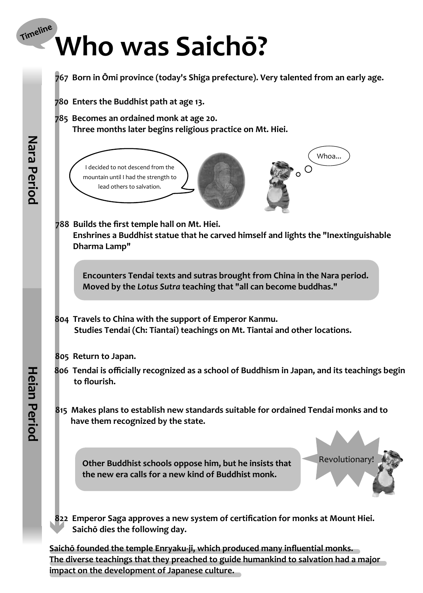## Timeline **Who was Saichō?**



**Saichō founded the temple Enryaku-ji, which produced many influential monks. The diverse teachings that they preached to guide humankind to salvation had a major impact on the development of Japanese culture.**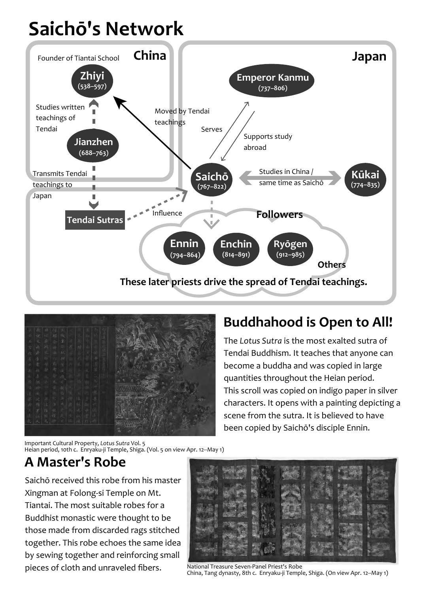# **Saichō's Network**





### **Buddhahood is Open to All!**

The *Lotus Sutra* is the most exalted sutra of Tendai Buddhism. It teaches that anyone can become a buddha and was copied in large quantities throughout the Heian period. This scroll was copied on indigo paper in silver characters. It opens with a painting depicting a scene from the sutra. It is believed to have been copied by Saichō's disciple Ennin.

Important Cultural Property, *Lotus Sutra* Vol. 5 Heian period, 10th c. Enryaku-ji Temple, Shiga. (Vol. 5 on view Apr. 12--May 1)

### **A Master's Robe**

Saichō received this robe from his master Xingman at Folong-si Temple on Mt. Tiantai. The most suitable robes for a Buddhist monastic were thought to be those made from discarded rags stitched together. This robe echoes the same idea by sewing together and reinforcing small pieces of cloth and unraveled fibers. National Treasure Seven-Panel Priest's Robe



China, Tang dynasty, 8th c. Enryaku-ji Temple, Shiga. (On view Apr. 12--May 1)